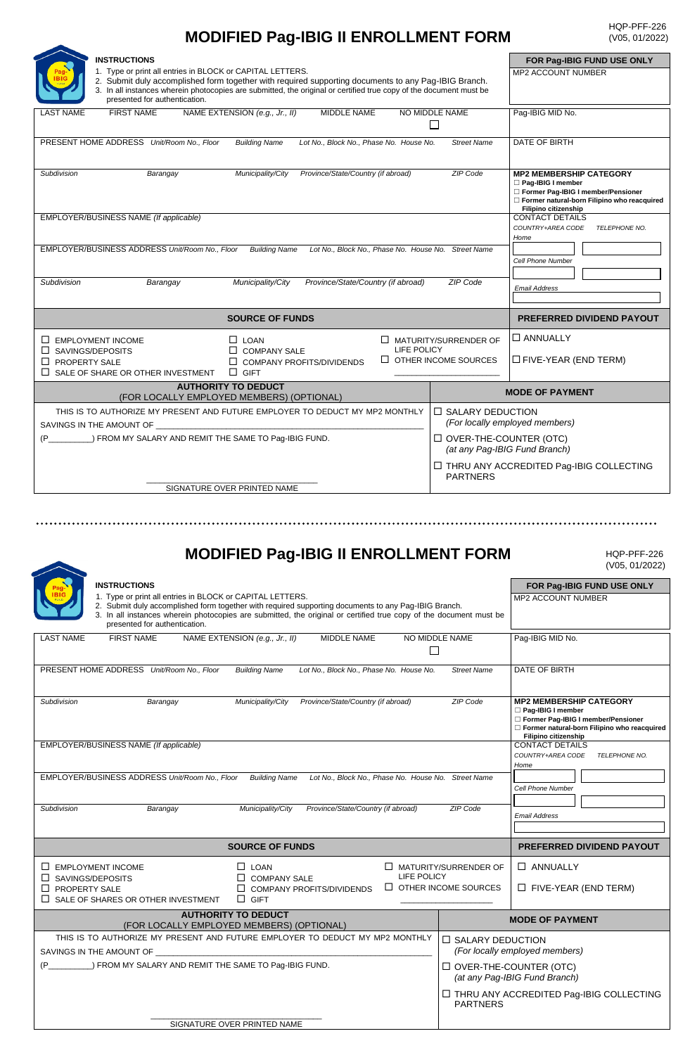## **MODIFIED Pag-IBIG II ENROLLMENT FORM**

| <b>INSTRUCTIONS</b>                                                                                                                                                                                                                                                                     |                                                           | FOR Pag-IBIG FUND USE ONLY                                                                                                                                              |  |
|-----------------------------------------------------------------------------------------------------------------------------------------------------------------------------------------------------------------------------------------------------------------------------------------|-----------------------------------------------------------|-------------------------------------------------------------------------------------------------------------------------------------------------------------------------|--|
| 1. Type or print all entries in BLOCK or CAPITAL LETTERS.<br>2. Submit duly accomplished form together with required supporting documents to any Pag-IBIG Branch.<br>3. In all instances wherein photocopies are submitted, the original or certified true copy of the document must be | <b>MP2 ACCOUNT NUMBER</b>                                 |                                                                                                                                                                         |  |
| presented for authentication.                                                                                                                                                                                                                                                           |                                                           |                                                                                                                                                                         |  |
| <b>FIRST NAME</b><br>NAME EXTENSION (e.g., Jr., II)<br>MIDDLE NAME<br><b>LAST NAME</b>                                                                                                                                                                                                  | NO MIDDLE NAME                                            | Pag-IBIG MID No.                                                                                                                                                        |  |
| PRESENT HOME ADDRESS Unit/Room No., Floor<br><b>Building Name</b><br>Lot No., Block No., Phase No. House No.                                                                                                                                                                            | <b>Street Name</b>                                        | DATE OF BIRTH                                                                                                                                                           |  |
| Province/State/Country (if abroad)<br>Barangay<br>Municipality/City<br>Subdivision                                                                                                                                                                                                      | <b>ZIP Code</b>                                           | <b>MP2 MEMBERSHIP CATEGORY</b><br>Pag-IBIG I member<br>Former Pag-IBIG I member/Pensioner<br>Former natural-born Filipino who reacquired<br><b>Filipino citizenship</b> |  |
| EMPLOYER/BUSINESS NAME (If applicable)                                                                                                                                                                                                                                                  |                                                           | <b>CONTACT DETAILS</b><br>COUNTRY+AREA CODE<br>TELEPHONE NO.<br>Home                                                                                                    |  |
| EMPLOYER/BUSINESS ADDRESS Unit/Room No., Floor<br><b>Building Name</b><br>Lot No., Block No., Phase No. House No. Street Name                                                                                                                                                           |                                                           | <b>Cell Phone Number</b>                                                                                                                                                |  |
| Subdivision<br>Province/State/Country (if abroad)<br>Municipality/City<br>Barangay                                                                                                                                                                                                      | ZIP Code                                                  | <b>Email Address</b>                                                                                                                                                    |  |
| <b>SOURCE OF FUNDS</b>                                                                                                                                                                                                                                                                  |                                                           | <b>PREFERRED DIVIDEND PAYOUT</b>                                                                                                                                        |  |
| $\Box$ EMPLOYMENT INCOME<br>$\Box$ LOAN<br>LIFE POLICY<br>$\Box$ SAVINGS/DEPOSITS<br>$\Box$ COMPANY SALE                                                                                                                                                                                | $\Box$ MATURITY/SURRENDER OF                              | $\Box$ ANNUALLY                                                                                                                                                         |  |
| $\Box$ PROPERTY SALE<br>$\Box$ COMPANY PROFITS/DIVIDENDS<br>$\Box$ SALE OF SHARE OR OTHER INVESTMENT<br>$\Box$ GIFT                                                                                                                                                                     | $\Box$ OTHER INCOME SOURCES                               | $\Box$ FIVE-YEAR (END TERM)                                                                                                                                             |  |
| <b>AUTHORITY TO DEDUCT</b><br>(FOR LOCALLY EMPLOYED MEMBERS) (OPTIONAL)                                                                                                                                                                                                                 |                                                           | <b>MODE OF PAYMENT</b>                                                                                                                                                  |  |
| THIS IS TO AUTHORIZE MY PRESENT AND FUTURE EMPLOYER TO DEDUCT MY MP2 MONTHLY<br>SAVINGS IN THE AMOUNT OF                                                                                                                                                                                | $\Box$ SALARY DEDUCTION<br>(For locally employed members) |                                                                                                                                                                         |  |
| $\Box$ OVER-THE-COUNTER (OTC)<br>$(P \cup$<br>) FROM MY SALARY AND REMIT THE SAME TO Pag-IBIG FUND.                                                                                                                                                                                     |                                                           | (at any Pag-IBIG Fund Branch)                                                                                                                                           |  |
|                                                                                                                                                                                                                                                                                         | <b>PARTNERS</b>                                           | □ THRU ANY ACCREDITED Pag-IBIG COLLECTING                                                                                                                               |  |
| SIGNATURE OVER PRINTED NAME                                                                                                                                                                                                                                                             |                                                           |                                                                                                                                                                         |  |
|                                                                                                                                                                                                                                                                                         |                                                           |                                                                                                                                                                         |  |

## **MODIFIED Pag-IBIG II ENROLLMENT FORM**

HQP-PFF-226 (V05, 01/2022)

|                                                                                                                                                                                                                                                                                                                                                 |                                                                | (V05, 01/2022)                                                                                                                                                   |
|-------------------------------------------------------------------------------------------------------------------------------------------------------------------------------------------------------------------------------------------------------------------------------------------------------------------------------------------------|----------------------------------------------------------------|------------------------------------------------------------------------------------------------------------------------------------------------------------------|
| <b>INSTRUCTIONS</b><br>1. Type or print all entries in BLOCK or CAPITAL LETTERS.<br>2. Submit duly accomplished form together with required supporting documents to any Pag-IBIG Branch.<br>3. In all instances wherein photocopies are submitted, the original or certified true copy of the document must be<br>presented for authentication. |                                                                | FOR Pag-IBIG FUND USE ONLY<br><b>MP2 ACCOUNT NUMBER</b>                                                                                                          |
| <b>LAST NAME</b><br><b>FIRST NAME</b><br>NAME EXTENSION (e.g., Jr., II)<br>MIDDLE NAME<br>NO MIDDLE NAME                                                                                                                                                                                                                                        |                                                                | Pag-IBIG MID No.                                                                                                                                                 |
| PRESENT HOME ADDRESS Unit/Room No., Floor<br><b>Building Name</b><br>Lot No., Block No., Phase No. House No.                                                                                                                                                                                                                                    | <b>Street Name</b>                                             | DATE OF BIRTH                                                                                                                                                    |
| Municipality/City<br>Province/State/Country (if abroad)<br>Subdivision<br>Barangay                                                                                                                                                                                                                                                              | <b>ZIP Code</b>                                                | <b>MP2 MEMBERSHIP CATEGORY</b><br>Pag-IBIG I member<br>Former Pag-IBIG I member/Pensioner<br>Former natural-born Filipino who reacquired<br>Filipino citizenship |
| EMPLOYER/BUSINESS NAME (If applicable)                                                                                                                                                                                                                                                                                                          |                                                                | <b>CONTACT DETAILS</b><br>COUNTRY+AREA CODE<br>TELEPHONE NO.<br>Home                                                                                             |
| EMPLOYER/BUSINESS ADDRESS Unit/Room No., Floor<br><b>Building Name</b><br>Lot No., Block No., Phase No. House No. Street Name                                                                                                                                                                                                                   |                                                                | <b>Cell Phone Number</b>                                                                                                                                         |
| Province/State/Country (if abroad)<br>Municipality/City<br>Subdivision<br>Barangay                                                                                                                                                                                                                                                              | ZIP Code                                                       | <b>Email Address</b>                                                                                                                                             |
| <b>SOURCE OF FUNDS</b>                                                                                                                                                                                                                                                                                                                          |                                                                | <b>PREFERRED DIVIDEND PAYOUT</b>                                                                                                                                 |
| $\Box$ EMPLOYMENT INCOME<br>$\Box$ LOAN<br>$\Box$ MATURITY/SURRENDER OF<br>LIFE POLICY<br>$\Box$ SAVINGS/DEPOSITS<br>$\Box$ COMPANY SALE<br>$\Box$ OTHER INCOME SOURCES<br><b>PROPERTY SALE</b><br>$\Box$ COMPANY PROFITS/DIVIDENDS<br>SALE OF SHARES OR OTHER INVESTMENT<br>$\Box$ GIFT<br>П.                                                  |                                                                | $\Box$ ANNUALLY<br>$\Box$ FIVE-YEAR (END TERM)                                                                                                                   |
| <b>AUTHORITY TO DEDUCT</b><br>(FOR LOCALLY EMPLOYED MEMBERS) (OPTIONAL)                                                                                                                                                                                                                                                                         |                                                                | <b>MODE OF PAYMENT</b>                                                                                                                                           |
| THIS IS TO AUTHORIZE MY PRESENT AND FUTURE EMPLOYER TO DEDUCT MY MP2 MONTHLY<br>SAVINGS IN THE AMOUNT OF                                                                                                                                                                                                                                        | $\Box$ SALARY DEDUCTION<br>(For locally employed members)      |                                                                                                                                                                  |
| ) FROM MY SALARY AND REMIT THE SAME TO Pag-IBIG FUND.                                                                                                                                                                                                                                                                                           | $\Box$ OVER-THE-COUNTER (OTC)<br>(at any Pag-IBIG Fund Branch) |                                                                                                                                                                  |
|                                                                                                                                                                                                                                                                                                                                                 | <b>PARTNERS</b>                                                | □ THRU ANY ACCREDITED Pag-IBIG COLLECTING                                                                                                                        |
| SIGNATURE OVER PRINTED NAME                                                                                                                                                                                                                                                                                                                     |                                                                |                                                                                                                                                                  |